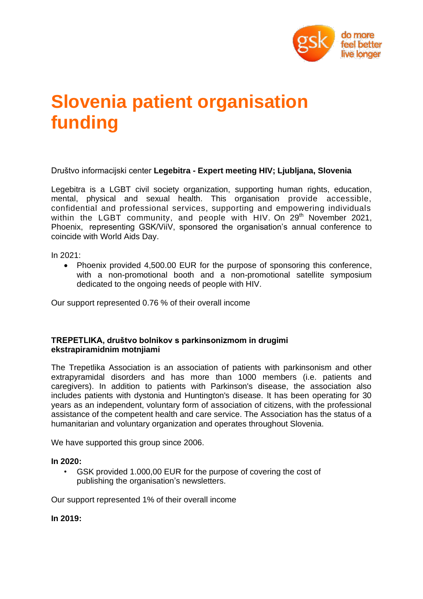

## **Slovenia patient organisation funding**

Društvo informacijski center **Legebitra - Expert meeting HIV; Ljubljana, Slovenia** 

Legebitra is a LGBT civil society organization, supporting human rights, education, mental, physical and sexual health. This organisation provide accessible, confidential and professional services, supporting and empowering individuals within the LGBT community, and people with HIV. On  $29<sup>th</sup>$  November 2021, Phoenix, representing GSK/ViiV, sponsored the organisation's annual conference to coincide with World Aids Day.

In 2021:

• Phoenix provided 4,500.00 EUR for the purpose of sponsoring this conference, with a non-promotional booth and a non-promotional satellite symposium dedicated to the ongoing needs of people with HIV.

Our support represented 0.76 % of their overall income

## **TREPETLIKA, društvo bolnikov s parkinsonizmom in drugimi ekstrapiramidnim motnjiami**

The Trepetlika Association is an association of patients with parkinsonism and other extrapyramidal disorders and has more than 1000 members (i.e. patients and caregivers). In addition to patients with Parkinson's disease, the association also includes patients with dystonia and Huntington's disease. It has been operating for 30 years as an independent, voluntary form of association of citizens, with the professional assistance of the competent health and care service. The Association has the status of a humanitarian and voluntary organization and operates throughout Slovenia.

We have supported this group since 2006.

## **In 2020:**

GSK provided 1.000,00 EUR for the purpose of covering the cost of publishing the organisation's newsletters.

Our support represented 1% of their overall income

**In 2019:**